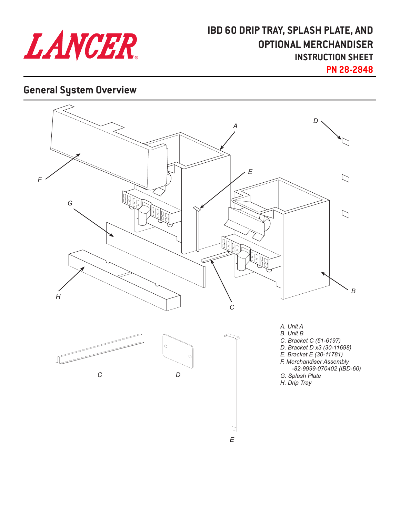

# **IBD 60 DRIP TRAY, SPLASH PLATE, AND OPTIONAL MERCHANDISER INSTRUCTION SHEET**

**PN 28-2848**

## **General System Overview**

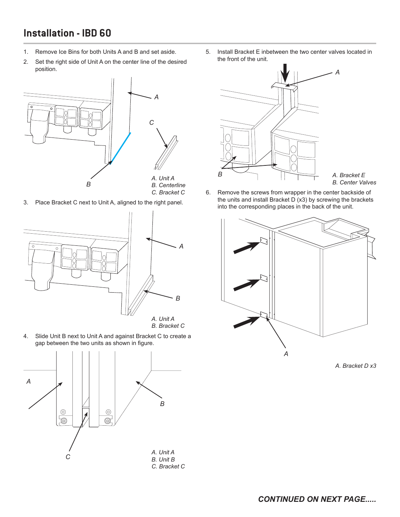## **Installation - IBD 60**

- 1. Remove Ice Bins for both Units A and B and set aside.
- 2. Set the right side of Unit A on the center line of the desired position.



3. Place Bracket C next to Unit A, aligned to the right panel.



4. Slide Unit B next to Unit A and against Bracket C to create a gap between the two units as shown in figure.



5. Install Bracket E inbetween the two center valves located in the front of the unit.



*A. Bracket E B. Center Valves*

6. Remove the screws from wrapper in the center backside of the units and install Bracket D (x3) by screwing the brackets into the corresponding places in the back of the unit.



*A. Bracket D x3*